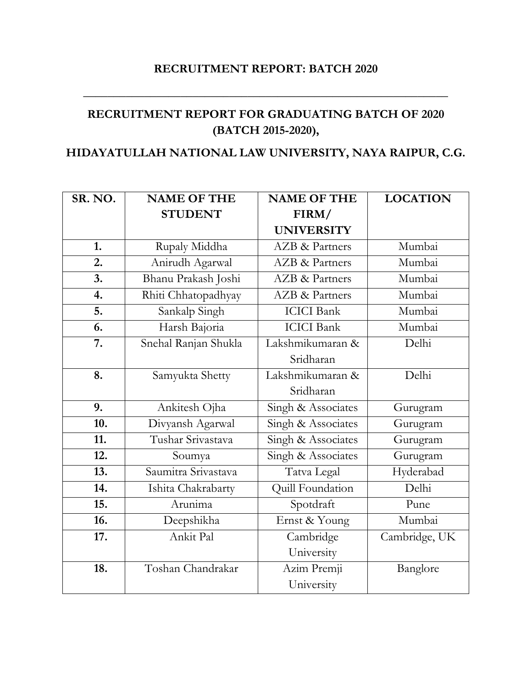## **RECRUITMENT REPORT: BATCH 2020**

**\_\_\_\_\_\_\_\_\_\_\_\_\_\_\_\_\_\_\_\_\_\_\_\_\_\_\_\_\_\_\_\_\_\_\_\_\_\_\_\_\_\_\_\_\_\_\_\_\_\_\_\_\_\_\_\_\_\_\_\_**

## **RECRUITMENT REPORT FOR GRADUATING BATCH OF 2020 (BATCH 2015-2020),**

## **HIDAYATULLAH NATIONAL LAW UNIVERSITY, NAYA RAIPUR, C.G.**

| SR. NO. | <b>NAME OF THE</b>   | <b>NAME OF THE</b>        | <b>LOCATION</b> |
|---------|----------------------|---------------------------|-----------------|
|         | <b>STUDENT</b>       | FIRM/                     |                 |
|         |                      | <b>UNIVERSITY</b>         |                 |
| 1.      | Rupaly Middha        | <b>AZB &amp; Partners</b> | Mumbai          |
| 2.      | Anirudh Agarwal      | <b>AZB &amp; Partners</b> | Mumbai          |
| 3.      | Bhanu Prakash Joshi  | <b>AZB &amp; Partners</b> | Mumbai          |
| 4.      | Rhiti Chhatopadhyay  | <b>AZB &amp; Partners</b> | Mumbai          |
| 5.      | Sankalp Singh        | <b>ICICI</b> Bank         | Mumbai          |
| 6.      | Harsh Bajoria        | <b>ICICI</b> Bank         | Mumbai          |
| 7.      | Snehal Ranjan Shukla | Lakshmikumaran &          | Delhi           |
|         |                      | Sridharan                 |                 |
| 8.      | Samyukta Shetty      | Lakshmikumaran &          | Delhi           |
|         |                      | Sridharan                 |                 |
| 9.      | Ankitesh Ojha        | Singh & Associates        | Gurugram        |
| 10.     | Divyansh Agarwal     | Singh & Associates        | Gurugram        |
| 11.     | Tushar Srivastava    | Singh & Associates        | Gurugram        |
| 12.     | Soumya               | Singh & Associates        | Gurugram        |
| 13.     | Saumitra Srivastava  | Tatva Legal               | Hyderabad       |
| 14.     | Ishita Chakrabarty   | Quill Foundation          | Delhi           |
| 15.     | Arunima              | Spotdraft                 | Pune            |
| 16.     | Deepshikha           | Ernst & Young             | Mumbai          |
| 17.     | Ankit Pal            | Cambridge                 | Cambridge, UK   |
|         |                      | University                |                 |
| 18.     | Toshan Chandrakar    | Azim Premji               | Banglore        |
|         |                      | University                |                 |